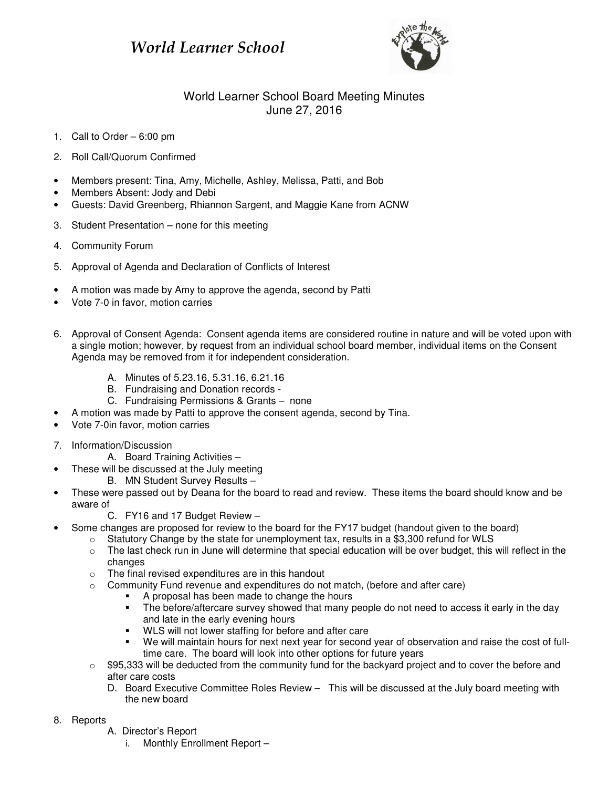## World Learner School



## World Learner School Board Meeting Minutes June 27, 2016

- 1. Call to Order 6:00 pm
- 2. Roll Call/Quorum Confirmed
- Members present: Tina, Amy, Michelle, Ashley, Melissa, Patti, and Bob
- Members Absent: Jody and Debi
- Guests: David Greenberg, Rhiannon Sargent, and Maggie Kane from ACNW
- 3. Student Presentation none for this meeting
- 4. Community Forum
- 5. Approval of Agenda and Declaration of Conflicts of Interest
- A motion was made by Amy to approve the agenda, second by Patti
- Vote 7-0 in favor, motion carries
- 6. Approval of Consent Agenda: Consent agenda items are considered routine in nature and will be voted upon with a single motion; however, by request from an individual school board member, individual items on the Consent Agenda may be removed from it for independent consideration.
	- A. Minutes of 5.23.16, 5.31.16, 6.21.16
	- B. Fundraising and Donation records -
	- C. Fundraising Permissions & Grants none
- A motion was made by Patti to approve the consent agenda, second by Tina.
- Vote 7-0in favor, motion carries
- 7. Information/Discussion
	- A. Board Training Activities –
	- These will be discussed at the July meeting
		- B. MN Student Survey Results –
- These were passed out by Deana for the board to read and review. These items the board should know and be aware of
	- C. FY16 and 17 Budget Review –
- Some changes are proposed for review to the board for the FY17 budget (handout given to the board)
	- o Statutory Change by the state for unemployment tax, results in a \$3,300 refund for WLS
	- $\circ$  The last check run in June will determine that special education will be over budget, this will reflect in the changes
	- o The final revised expenditures are in this handout
	- o Community Fund revenue and expenditures do not match, (before and after care)
		- A proposal has been made to change the hours
		- The before/aftercare survey showed that many people do not need to access it early in the day and late in the early evening hours
		- WLS will not lower staffing for before and after care
		- We will maintain hours for next next year for second year of observation and raise the cost of fulltime care. The board will look into other options for future years
	- $\circ$  \$95,333 will be deducted from the community fund for the backyard project and to cover the before and after care costs
		- D. Board Executive Committee Roles Review This will be discussed at the July board meeting with the new board
- 8. Reports
	- A. Director's Report
		- i. Monthly Enrollment Report –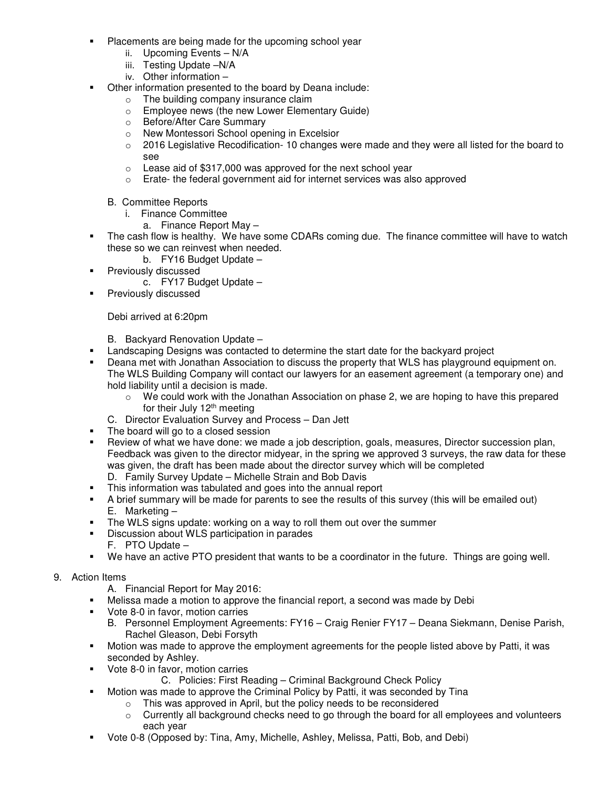- Placements are being made for the upcoming school year
	- ii. Upcoming Events N/A
	- iii. Testing Update –N/A
	- iv. Other information –
- Other information presented to the board by Deana include:
	- o The building company insurance claim
	- o Employee news (the new Lower Elementary Guide)
	- o Before/After Care Summary
	- o New Montessori School opening in Excelsior
	- $\circ$  2016 Legislative Recodification-10 changes were made and they were all listed for the board to see
	- $\circ$  Lease aid of \$317,000 was approved for the next school year
	- o Erate- the federal government aid for internet services was also approved
	- B. Committee Reports
		- i. Finance Committee
			- a. Finance Report May –
- The cash flow is healthy. We have some CDARs coming due. The finance committee will have to watch these so we can reinvest when needed.
	- b. FY16 Budget Update –
- **Previously discussed** 
	- c. FY17 Budget Update –
- **Previously discussed**

## Debi arrived at 6:20pm

- B. Backyard Renovation Update –
- **Landscaping Designs was contacted to determine the start date for the backyard project**
- **•** Deana met with Jonathan Association to discuss the property that WLS has playground equipment on. The WLS Building Company will contact our lawyers for an easement agreement (a temporary one) and hold liability until a decision is made.
	- $\circ$  We could work with the Jonathan Association on phase 2, we are hoping to have this prepared for their July 12<sup>th</sup> meeting
	- C. Director Evaluation Survey and Process Dan Jett
- The board will go to a closed session
- Review of what we have done: we made a job description, goals, measures, Director succession plan, Feedback was given to the director midyear, in the spring we approved 3 surveys, the raw data for these was given, the draft has been made about the director survey which will be completed D. Family Survey Update – Michelle Strain and Bob Davis
- This information was tabulated and goes into the annual report
- A brief summary will be made for parents to see the results of this survey (this will be emailed out) E. Marketing –
- The WLS signs update: working on a way to roll them out over the summer
- Discussion about WLS participation in parades
	- F. PTO Update –
- We have an active PTO president that wants to be a coordinator in the future. Things are going well.

## 9. Action Items

- A. Financial Report for May 2016:
- Melissa made a motion to approve the financial report, a second was made by Debi
- **Vote 8-0 in favor, motion carries** 
	- B. Personnel Employment Agreements: FY16 Craig Renier FY17 Deana Siekmann, Denise Parish, Rachel Gleason, Debi Forsyth
- Motion was made to approve the employment agreements for the people listed above by Patti, it was seconded by Ashley.
- **Vote 8-0 in favor, motion carries** 
	- C. Policies: First Reading Criminal Background Check Policy
- Motion was made to approve the Criminal Policy by Patti, it was seconded by Tina
	- o This was approved in April, but the policy needs to be reconsidered
	- $\circ$  Currently all background checks need to go through the board for all employees and volunteers each year
- Vote 0-8 (Opposed by: Tina, Amy, Michelle, Ashley, Melissa, Patti, Bob, and Debi)